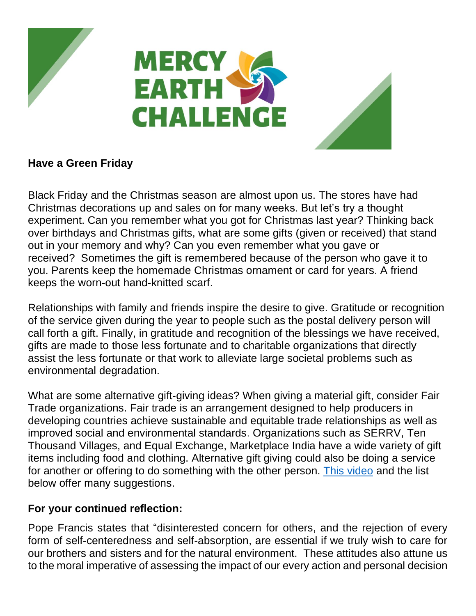

## **Have a Green Friday**

Black Friday and the Christmas season are almost upon us. The stores have had Christmas decorations up and sales on for many weeks. But let's try a thought experiment. Can you remember what you got for Christmas last year? Thinking back over birthdays and Christmas gifts, what are some gifts (given or received) that stand out in your memory and why? Can you even remember what you gave or received? Sometimes the gift is remembered because of the person who gave it to you. Parents keep the homemade Christmas ornament or card for years. A friend keeps the worn-out hand-knitted scarf.

Relationships with family and friends inspire the desire to give. Gratitude or recognition of the service given during the year to people such as the postal delivery person will call forth a gift. Finally, in gratitude and recognition of the blessings we have received, gifts are made to those less fortunate and to charitable organizations that directly assist the less fortunate or that work to alleviate large societal problems such as environmental degradation.

What are some alternative gift-giving ideas? When giving a material gift, consider Fair Trade organizations. Fair trade is an arrangement designed to help producers in developing countries achieve sustainable and equitable trade relationships as well as improved social and environmental standards. Organizations such as SERRV, Ten Thousand Villages, and Equal Exchange, Marketplace India have a wide variety of gift items including food and clothing. Alternative gift giving could also be doing a service for another or offering to do something with the other person. [This video](https://www.youtube.com/watch?v=qvAi_RAoBcI&feature=youtu.be) and the list below offer many suggestions.

## **For your continued reflection:**

Pope Francis states that "disinterested concern for others, and the rejection of every form of self-centeredness and self-absorption, are essential if we truly wish to care for our brothers and sisters and for the natural environment. These attitudes also attune us to the moral imperative of assessing the impact of our every action and personal decision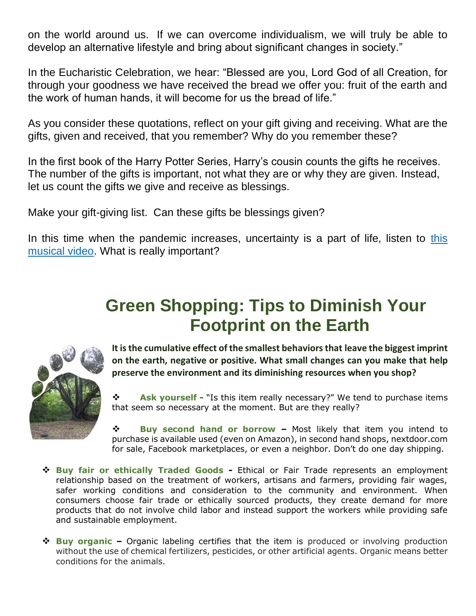on the world around us. If we can overcome individualism, we will truly be able to develop an alternative lifestyle and bring about significant changes in society."

In the Eucharistic Celebration, we hear: "Blessed are you, Lord God of all Creation, for through your goodness we have received the bread we offer you: fruit of the earth and the work of human hands, it will become for us the bread of life."

As you consider these quotations, reflect on your gift giving and receiving. What are the gifts, given and received, that you remember? Why do you remember these?

In the first book of the Harry Potter Series, Harry's cousin counts the gifts he receives. The number of the gifts is important, not what they are or why they are given. Instead, let us count the gifts we give and receive as blessings.

Make your gift-giving list. Can these gifts be blessings given?

In [this](https://www.youtube.com/watch?v=1TbDPwA09Bc) time when the pandemic increases, uncertainty is a part of life, listen to this [musical video.](https://www.youtube.com/watch?v=1TbDPwA09Bc) What is really important?

## **Green Shopping: Tips to Diminish Your Footprint on the Earth**



**It is the cumulative effect of the smallest behaviors that leave the biggest imprint on the earth, negative or positive. What small changes can you make that help preserve the environment and its diminishing resources when you shop?**

❖ **Ask yourself -** "Is this item really necessary?" We tend to purchase items that seem so necessary at the moment. But are they really?

❖ **Buy second hand or borrow –** Most likely that item you intend to purchase is available used (even on Amazon), in second hand shops, nextdoor.com for sale, Facebook marketplaces, or even a neighbor. Don't do one day shipping.

- ❖ **Buy fair or ethically Traded Goods -** Ethical or Fair Trade represents an employment relationship based on the treatment of workers, artisans and farmers, providing fair wages, safer working conditions and consideration to the community and environment. When consumers choose fair trade or ethically sourced products, they create demand for more products that do not involve child labor and instead support the workers while providing safe and sustainable employment.
- ❖ **Buy organic –** Organic labeling certifies that the item is produced or involving production without the use of chemical fertilizers, pesticides, or other artificial agents. Organic means better conditions for the animals.